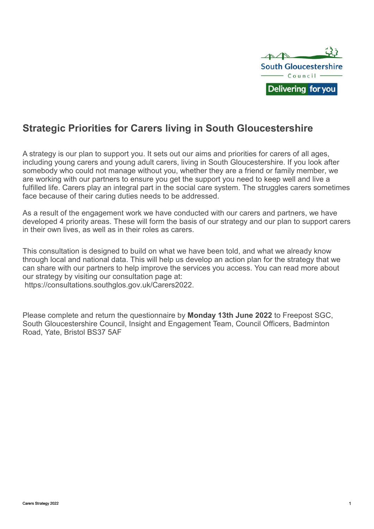

# **Strategic Priorities for Carers living in South Gloucestershire**

A strategy is our plan to support you. It sets out our aims and priorities for carers of all ages, including young carers and young adult carers, living in South Gloucestershire. If you look after somebody who could not manage without you, whether they are a friend or family member, we are working with our partners to ensure you get the support you need to keep well and live a fulfilled life. Carers play an integral part in the social care system. The struggles carers sometimes face because of their caring duties needs to be addressed.

As a result of the engagement work we have conducted with our carers and partners, we have developed 4 priority areas. These will form the basis of our strategy and our plan to support carers in their own lives, as well as in their roles as carers.

This consultation is designed to build on what we have been told, and what we already know through local and national data. This will help us develop an action plan for the strategy that we can share with our partners to help improve the services you access. You can read more about our strategy by visiting our consultation page at:

https://consultations.southglos.gov.uk/Carers2022.

Please complete and return the questionnaire by **Monday 13th June 2022** to Freepost SGC, South Gloucestershire Council, Insight and Engagement Team, Council Officers, Badminton Road, Yate, Bristol BS37 5AF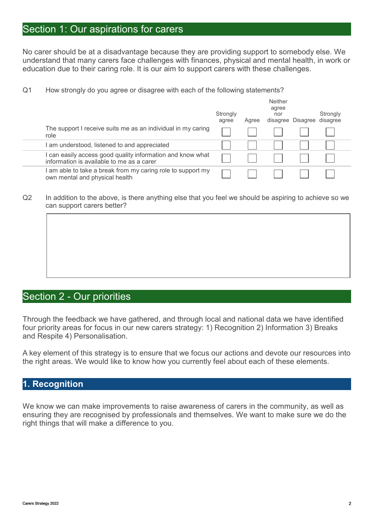### Section 1: Our aspirations for carers

No carer should be at a disadvantage because they are providing support to somebody else. We understand that many carers face challenges with finances, physical and mental health, in work or education due to their caring role. It is our aim to support carers with these challenges.

Neither

Q1 How strongly do you agree or disagree with each of the following statements?

|                                                                                                       | Strongly<br>agree | Agree | <b>Neither</b><br>agree<br>nor | disagree Disagree disagree | Strongly |  |
|-------------------------------------------------------------------------------------------------------|-------------------|-------|--------------------------------|----------------------------|----------|--|
| The support I receive suits me as an individual in my caring<br>role                                  |                   |       |                                |                            |          |  |
| am understood, listened to and appreciated                                                            |                   |       |                                |                            |          |  |
| can easily access good quality information and know what<br>information is available to me as a carer |                   |       |                                |                            |          |  |
| am able to take a break from my caring role to support my<br>own mental and physical health           |                   |       |                                |                            |          |  |
|                                                                                                       |                   |       |                                |                            |          |  |

Q2 In addition to the above, is there anything else that you feel we should be aspiring to achieve so we can support carers better?

### Section 2 - Our priorities

Through the feedback we have gathered, and through local and national data we have identified four priority areas for focus in our new carers strategy: 1) Recognition 2) Information 3) Breaks and Respite 4) Personalisation.

A key element of this strategy is to ensure that we focus our actions and devote our resources into the right areas. We would like to know how you currently feel about each of these elements.

#### **1. Recognition**

We know we can make improvements to raise awareness of carers in the community, as well as ensuring they are recognised by professionals and themselves. We want to make sure we do the right things that will make a difference to you.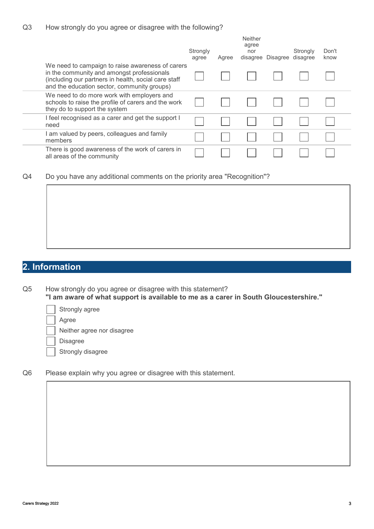|                                                                                                                                                                                                       | Strongly<br>agree | Agree | Neither<br>agree<br>nor<br>disagree | Disagree | Strongly<br>disagree | Don't<br>know |  |
|-------------------------------------------------------------------------------------------------------------------------------------------------------------------------------------------------------|-------------------|-------|-------------------------------------|----------|----------------------|---------------|--|
| We need to campaign to raise awareness of carers<br>in the community and amongst professionals<br>(including our partners in health, social care staff<br>and the education sector, community groups) |                   |       |                                     |          |                      |               |  |
| We need to do more work with employers and<br>schools to raise the profile of carers and the work<br>they do to support the system                                                                    |                   |       |                                     |          |                      |               |  |
| I feel recognised as a carer and get the support I<br>need                                                                                                                                            |                   |       |                                     |          |                      |               |  |
| I am valued by peers, colleagues and family<br>members                                                                                                                                                |                   |       |                                     |          |                      |               |  |
| There is good awareness of the work of carers in<br>all areas of the community                                                                                                                        |                   |       |                                     |          |                      |               |  |

Q4 Do you have any additional comments on the priority area "Recognition"?

### **2. Information**

Q5 How strongly do you agree or disagree with this statement? **"I am aware of what support is available to me as a carer in South Gloucestershire."**

Strongly agree

Agree

Neither agree nor disagree

Disagree

Strongly disagree

Q6 Please explain why you agree or disagree with this statement.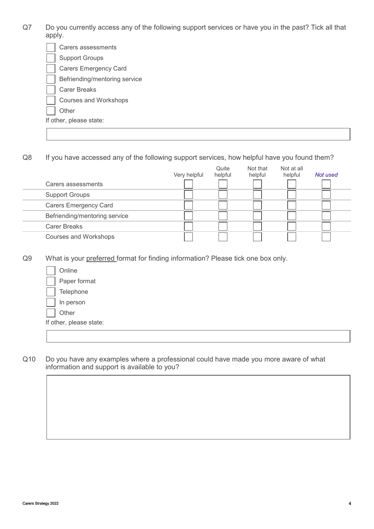Q7 Do you currently access any of the following support services or have you in the past? Tick all that apply.

| Carers assessments            |
|-------------------------------|
| <b>Support Groups</b>         |
| Carers Emergency Card         |
| Befriending/mentoring service |
| <b>Carer Breaks</b>           |
| Courses and Workshops         |
| Other                         |
| If other, please state:       |
|                               |

Q8 If you have accessed any of the following support services, how helpful have you found them?

|                               | Very helpful | Quite<br>helpful | Not that<br>helpful | Not at all<br>helpful | Not used |
|-------------------------------|--------------|------------------|---------------------|-----------------------|----------|
| Carers assessments            |              |                  |                     |                       |          |
| <b>Support Groups</b>         |              |                  |                     |                       |          |
| <b>Carers Emergency Card</b>  |              |                  |                     |                       |          |
| Befriending/mentoring service |              |                  |                     |                       |          |
| <b>Carer Breaks</b>           |              |                  |                     |                       |          |
| Courses and Workshops         |              |                  |                     |                       |          |

Q9 What is your preferred format for finding information? Please tick one box only.

Online

Paper format

Telephone

In person

**Other** 

If other, please state:

Q10 Do you have any examples where a professional could have made you more aware of what information and support is available to you?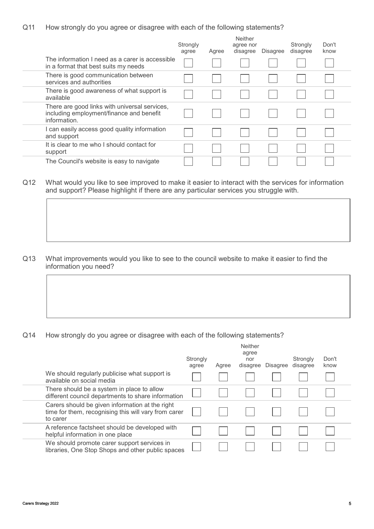Q11 How strongly do you agree or disagree with each of the following statements?

|                                                                                                           | Strongly<br>agree | Agree | Neither<br>agree nor<br>disagree | <b>Disagree</b> | Strongly<br>disagree | Don't<br>know |
|-----------------------------------------------------------------------------------------------------------|-------------------|-------|----------------------------------|-----------------|----------------------|---------------|
| The information I need as a carer is accessible<br>in a format that best suits my needs                   |                   |       |                                  |                 |                      |               |
| There is good communication between<br>services and authorities                                           |                   |       |                                  |                 |                      |               |
| There is good awareness of what support is<br>available                                                   |                   |       |                                  |                 |                      |               |
| There are good links with universal services,<br>including employment/finance and benefit<br>information. |                   |       |                                  |                 |                      |               |
| I can easily access good quality information<br>and support                                               |                   |       |                                  |                 |                      |               |
| It is clear to me who I should contact for<br>support                                                     |                   |       |                                  |                 |                      |               |
| The Council's website is easy to navigate                                                                 |                   |       |                                  |                 |                      |               |

#### Q12 What would you like to see improved to make it easier to interact with the services for information and support? Please highlight if there are any particular services you struggle with.

Q13 What improvements would you like to see to the council website to make it easier to find the information you need?

Q14 How strongly do you agree or disagree with each of the following statements?

|                                                                                                                     | Strongly<br>agree | Agree | <b>Neither</b><br>agree<br>nor<br>disagree | <b>Disagree</b> | Strongly<br>disagree | Don't<br>know |
|---------------------------------------------------------------------------------------------------------------------|-------------------|-------|--------------------------------------------|-----------------|----------------------|---------------|
| We should regularly publicise what support is<br>available on social media                                          |                   |       |                                            |                 |                      |               |
| There should be a system in place to allow<br>different council departments to share information                    |                   |       |                                            |                 |                      |               |
| Carers should be given information at the right<br>time for them, recognising this will vary from carer<br>to carer |                   |       |                                            |                 |                      |               |
| A reference factsheet should be developed with<br>helpful information in one place                                  |                   |       |                                            |                 |                      |               |
| We should promote carer support services in<br>libraries, One Stop Shops and other public spaces                    |                   |       |                                            |                 |                      |               |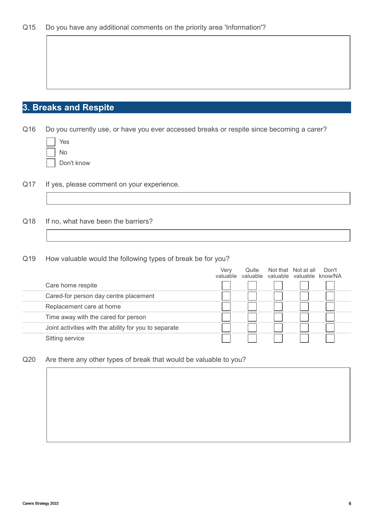## **3. Breaks and Respite**

Q16 Do you currently use, or have you ever accessed breaks or respite since becoming a carer?

| Yes |
|-----|
| N٥  |
| ┍   |

Don't know

- Q17 If yes, please comment on your experience.
- Q18 If no, what have been the barriers?
- Q19 How valuable would the following types of break be for you?

|                                                       | Verv     | Quite    | Not that Not at all       | Don't |
|-------------------------------------------------------|----------|----------|---------------------------|-------|
|                                                       | valuable | valuable | valuable valuable know/NA |       |
| Care home respite                                     |          |          |                           |       |
| Cared-for person day centre placement                 |          |          |                           |       |
| Replacement care at home                              |          |          |                           |       |
| Time away with the cared for person                   |          |          |                           |       |
| Joint activities with the ability for you to separate |          |          |                           |       |
| Sitting service                                       |          |          |                           |       |

Q20 Are there any other types of break that would be valuable to you?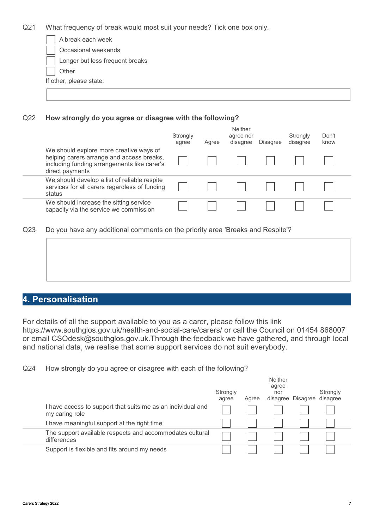Q21 What frequency of break would most suit your needs? Tick one box only.

| A break each week               |  |
|---------------------------------|--|
| Occasional weekends             |  |
| Longer but less frequent breaks |  |
| Other                           |  |
| If other, please state:         |  |
|                                 |  |

#### Q22 **How strongly do you agree or disagree with the following?**

|                                                                                                                                                        | Strongly<br>agree | Agree | Neither<br>agree nor<br>disagree | <b>Disagree</b> | Strongly<br>disagree | Don't<br>know |
|--------------------------------------------------------------------------------------------------------------------------------------------------------|-------------------|-------|----------------------------------|-----------------|----------------------|---------------|
| We should explore more creative ways of<br>helping carers arrange and access breaks,<br>including funding arrangements like carer's<br>direct payments |                   |       |                                  |                 |                      |               |
| We should develop a list of reliable respite<br>services for all carers regardless of funding<br>status                                                |                   |       |                                  |                 |                      |               |
| We should increase the sitting service<br>capacity via the service we commission                                                                       |                   |       |                                  |                 |                      |               |

Q23 Do you have any additional comments on the priority area 'Breaks and Respite'?

#### **4. Personalisation**

For details of all the support available to you as a carer, please follow this link https://www.southglos.gov.uk/health-and-social-care/carers/ or call the Council on 01454 868007 or email CSOdesk@southglos.gov.uk.Through the feedback we have gathered, and through local and national data, we realise that some support services do not suit everybody.

Q24 How strongly do you agree or disagree with each of the following?

|                                                                               | Strongly<br>agree | Agree | Neither<br>agree<br>nor | disagree Disagree disagree | Strongly |  |
|-------------------------------------------------------------------------------|-------------------|-------|-------------------------|----------------------------|----------|--|
| I have access to support that suits me as an individual and<br>my caring role |                   |       |                         |                            |          |  |
| I have meaningful support at the right time                                   |                   |       |                         |                            |          |  |
| The support available respects and accommodates cultural<br>differences       |                   |       |                         |                            |          |  |
| Support is flexible and fits around my needs                                  |                   |       |                         |                            |          |  |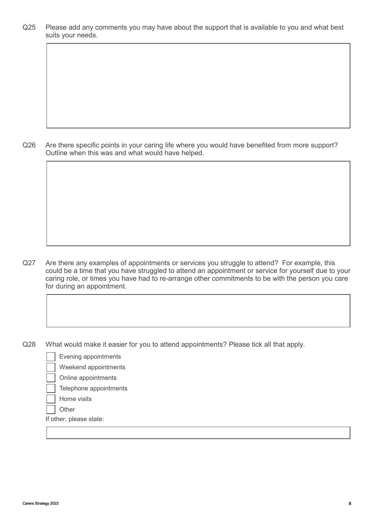Q25 Please add any comments you may have about the support that is available to you and what best suits your needs.

Q26 Are there specific points in your caring life where you would have benefited from more support? Outline when this was and what would have helped.

- Q27 Are there any examples of appointments or services you struggle to attend? For example, this could be a time that you have struggled to attend an appointment or service for yourself due to your caring role, or times you have had to re-arrange other commitments to be with the person you care for during an appointment.
- Q28 What would make it easier for you to attend appointments? Please tick all that apply.
	- Evening appointments
	- Weekend appointments
	- Online appointments
	- Telephone appointments
	- Home visits
	- **Other**

If other, please state: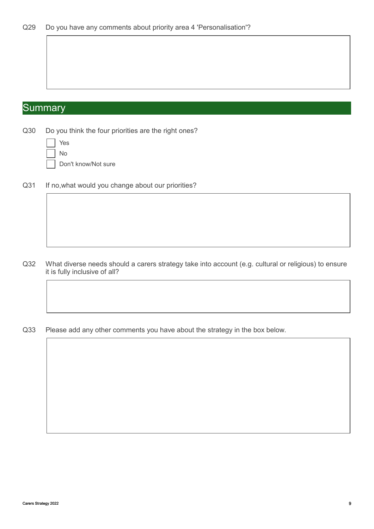# **Summary**

Q30 Do you think the four priorities are the right ones?

Don't know/Not sure

Q31 If no, what would you change about our priorities?

- Q32 What diverse needs should a carers strategy take into account (e.g. cultural or religious) to ensure it is fully inclusive of all?
- Q33 Please add any other comments you have about the strategy in the box below.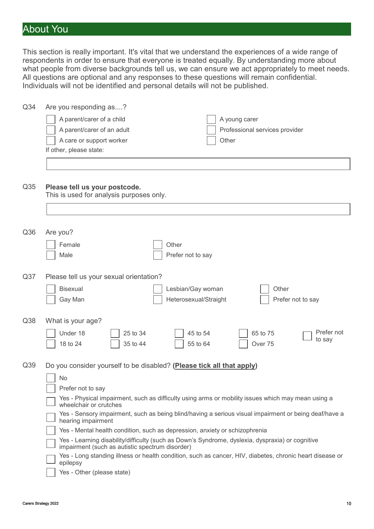# About You

This section is really important. It's vital that we understand the experiences of a wide range of respondents in order to ensure that everyone is treated equally. By understanding more about what people from diverse backgrounds tell us, we can ensure we act appropriately to meet needs. All questions are optional and any responses to these questions will remain confidential. Individuals will not be identified and personal details will not be published.

| Q <sub>34</sub> | Are you responding as?                                                                                                                              |
|-----------------|-----------------------------------------------------------------------------------------------------------------------------------------------------|
|                 | A parent/carer of a child<br>A young carer                                                                                                          |
|                 | A parent/carer of an adult<br>Professional services provider                                                                                        |
|                 | A care or support worker<br>Other                                                                                                                   |
|                 | If other, please state:                                                                                                                             |
|                 |                                                                                                                                                     |
|                 |                                                                                                                                                     |
| Q <sub>35</sub> | Please tell us your postcode.                                                                                                                       |
|                 | This is used for analysis purposes only.                                                                                                            |
|                 |                                                                                                                                                     |
|                 |                                                                                                                                                     |
|                 |                                                                                                                                                     |
| Q36             | Are you?                                                                                                                                            |
|                 | Female<br>Other                                                                                                                                     |
|                 | Male<br>Prefer not to say                                                                                                                           |
|                 |                                                                                                                                                     |
| Q <sub>37</sub> | Please tell us your sexual orientation?                                                                                                             |
|                 | Bisexual<br>Lesbian/Gay woman<br>Other                                                                                                              |
|                 | Gay Man<br>Heterosexual/Straight<br>Prefer not to say                                                                                               |
|                 |                                                                                                                                                     |
| Q38             | What is your age?                                                                                                                                   |
|                 | Prefer not<br>Under 18<br>65 to 75<br>25 to 34<br>45 to 54                                                                                          |
|                 | to say<br>18 to 24<br>35 to 44<br>55 to 64<br>Over <sub>75</sub>                                                                                    |
|                 |                                                                                                                                                     |
| Q39             | Do you consider yourself to be disabled? (Please tick all that apply)                                                                               |
|                 | No                                                                                                                                                  |
|                 | Prefer not to say                                                                                                                                   |
|                 | Yes - Physical impairment, such as difficulty using arms or mobility issues which may mean using a                                                  |
|                 | wheelchair or crutches                                                                                                                              |
|                 | Yes - Sensory impairment, such as being blind/having a serious visual impairment or being deaf/have a<br>hearing impairment                         |
|                 | Yes - Mental health condition, such as depression, anxiety or schizophrenia                                                                         |
|                 | Yes - Learning disability/difficulty (such as Down's Syndrome, dyslexia, dyspraxia) or cognitive<br>impairment (such as autistic spectrum disorder) |
|                 | Yes - Long standing illness or health condition, such as cancer, HIV, diabetes, chronic heart disease or                                            |
|                 | epilepsy                                                                                                                                            |
|                 | Yes - Other (please state)                                                                                                                          |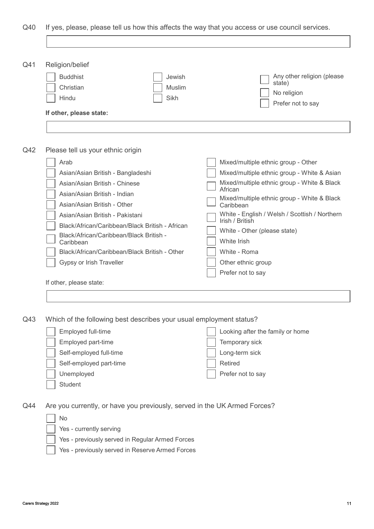Q40 If yes, please, please tell us how this affects the way that you access or use council services.

| Q <sub>41</sub> | Religion/belief                                                  |                          |                                                                          |
|-----------------|------------------------------------------------------------------|--------------------------|--------------------------------------------------------------------------|
|                 | <b>Buddhist</b><br>Christian<br>Hindu<br>If other, please state: | Jewish<br>Muslim<br>Sikh | Any other religion (please<br>state)<br>No religion<br>Prefer not to say |

#### Q42 Please tell us your ethnic origin

| Arab<br>Asian/Asian British - Bangladeshi<br>Asian/Asian British - Chinese<br>Asian/Asian British - Indian<br>Asian/Asian British - Other<br>Asian/Asian British - Pakistani<br>Black/African/Caribbean/Black British - African<br>Black/African/Caribbean/Black British -<br>Caribbean<br>Black/African/Caribbean/Black British - Other<br>Gypsy or Irish Traveller | Mixed/multiple ethnic group - Other<br>Mixed/multiple ethnic group - White & Asian<br>Mixed/multiple ethnic group - White & Black<br>African<br>Mixed/multiple ethnic group - White & Black<br>Caribbean<br>White - English / Welsh / Scottish / Northern<br>Irish / British<br>White - Other (please state)<br>White Irish<br>White - Roma<br>Other ethnic group<br>Prefer not to say |
|----------------------------------------------------------------------------------------------------------------------------------------------------------------------------------------------------------------------------------------------------------------------------------------------------------------------------------------------------------------------|----------------------------------------------------------------------------------------------------------------------------------------------------------------------------------------------------------------------------------------------------------------------------------------------------------------------------------------------------------------------------------------|
| If other, please state:                                                                                                                                                                                                                                                                                                                                              |                                                                                                                                                                                                                                                                                                                                                                                        |

Q43 Which of the following best describes your usual employment status?

| Employed full-time      | Looking after the family or home |
|-------------------------|----------------------------------|
| Employed part-time      | Temporary sick                   |
| Self-employed full-time | Long-term sick                   |
| Self-employed part-time | Retired                          |
| Unemployed              | Prefer not to say                |
| Student                 |                                  |

Q44 Are you currently, or have you previously, served in the UK Armed Forces?

| No                                               |
|--------------------------------------------------|
| Yes - currently serving                          |
| $\sim$ $\sim$ $\sim$ $\sim$ $\sim$ $\sim$ $\sim$ |

- Yes previously served in Regular Armed Forces
- Yes previously served in Reserve Armed Forces